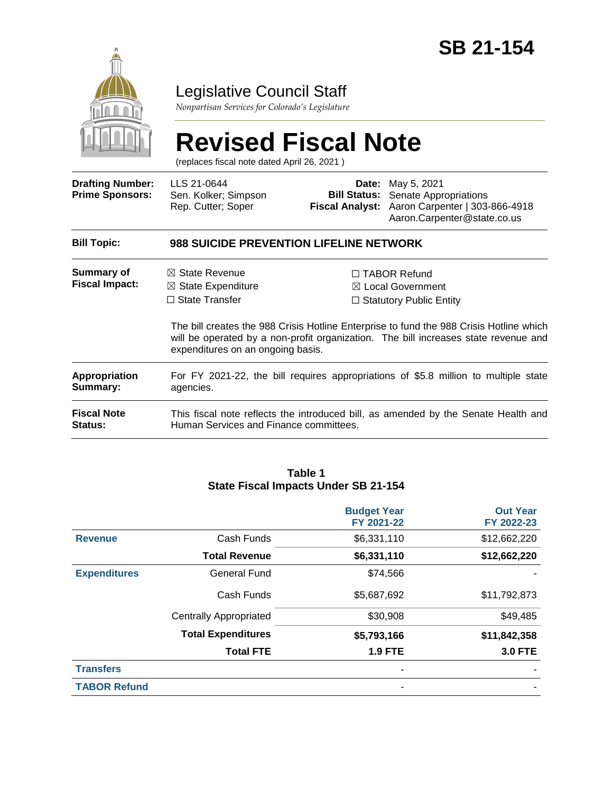

### Legislative Council Staff

*Nonpartisan Services for Colorado's Legislature*

# **Revised Fiscal Note**

(replaces fiscal note dated April 26, 2021 )

| <b>Drafting Number:</b><br><b>Prime Sponsors:</b> | LLS 21-0644<br>Sen. Kolker; Simpson<br>Rep. Cutter; Soper                                                                                                                                                           |                                                                                       | <b>Date:</b> May 5, 2021<br><b>Bill Status:</b> Senate Appropriations<br>Fiscal Analyst: Aaron Carpenter   303-866-4918<br>Aaron.Carpenter@state.co.us |  |
|---------------------------------------------------|---------------------------------------------------------------------------------------------------------------------------------------------------------------------------------------------------------------------|---------------------------------------------------------------------------------------|--------------------------------------------------------------------------------------------------------------------------------------------------------|--|
| <b>Bill Topic:</b>                                | <b>988 SUICIDE PREVENTION LIFELINE NETWORK</b>                                                                                                                                                                      |                                                                                       |                                                                                                                                                        |  |
| Summary of<br><b>Fiscal Impact:</b>               | $\boxtimes$ State Revenue<br>$\boxtimes$ State Expenditure<br>$\Box$ State Transfer                                                                                                                                 | $\Box$ TABOR Refund<br>$\boxtimes$ Local Government<br>$\Box$ Statutory Public Entity |                                                                                                                                                        |  |
|                                                   | The bill creates the 988 Crisis Hotline Enterprise to fund the 988 Crisis Hotline which<br>will be operated by a non-profit organization. The bill increases state revenue and<br>expenditures on an ongoing basis. |                                                                                       |                                                                                                                                                        |  |
| Appropriation<br>Summary:                         | For FY 2021-22, the bill requires appropriations of \$5.8 million to multiple state<br>agencies.                                                                                                                    |                                                                                       |                                                                                                                                                        |  |
| <b>Fiscal Note</b><br><b>Status:</b>              | Human Services and Finance committees.                                                                                                                                                                              |                                                                                       | This fiscal note reflects the introduced bill, as amended by the Senate Health and                                                                     |  |

#### **Table 1 State Fiscal Impacts Under SB 21-154**

|                     |                               | <b>Budget Year</b><br>FY 2021-22 | <b>Out Year</b><br>FY 2022-23 |
|---------------------|-------------------------------|----------------------------------|-------------------------------|
| <b>Revenue</b>      | Cash Funds                    | \$6,331,110                      | \$12,662,220                  |
|                     | <b>Total Revenue</b>          | \$6,331,110                      | \$12,662,220                  |
| <b>Expenditures</b> | General Fund                  | \$74,566                         |                               |
|                     | Cash Funds                    | \$5,687,692                      | \$11,792,873                  |
|                     | <b>Centrally Appropriated</b> | \$30,908                         | \$49,485                      |
|                     | <b>Total Expenditures</b>     | \$5,793,166                      | \$11,842,358                  |
|                     | <b>Total FTE</b>              | <b>1.9 FTE</b>                   | <b>3.0 FTE</b>                |
| <b>Transfers</b>    |                               |                                  |                               |
| <b>TABOR Refund</b> |                               |                                  |                               |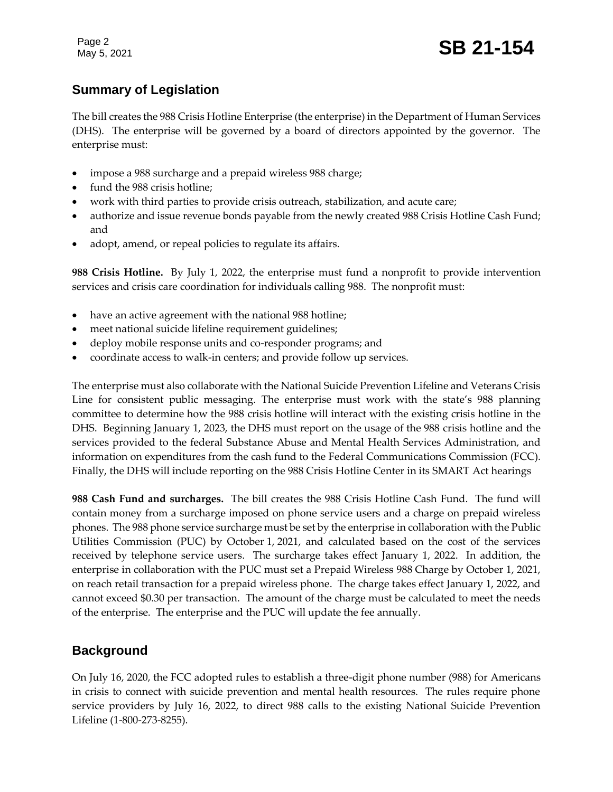Page 2

#### **Summary of Legislation**

The bill creates the 988 Crisis Hotline Enterprise (the enterprise) in the Department of Human Services (DHS). The enterprise will be governed by a board of directors appointed by the governor. The enterprise must:

- impose a 988 surcharge and a prepaid wireless 988 charge;
- fund the 988 crisis hotline;
- work with third parties to provide crisis outreach, stabilization, and acute care;
- authorize and issue revenue bonds payable from the newly created 988 Crisis Hotline Cash Fund; and
- adopt, amend, or repeal policies to regulate its affairs.

**988 Crisis Hotline.** By July 1, 2022, the enterprise must fund a nonprofit to provide intervention services and crisis care coordination for individuals calling 988. The nonprofit must:

- have an active agreement with the national 988 hotline;
- meet national suicide lifeline requirement guidelines;
- deploy mobile response units and co-responder programs; and
- coordinate access to walk-in centers; and provide follow up services.

The enterprise must also collaborate with the National Suicide Prevention Lifeline and Veterans Crisis Line for consistent public messaging. The enterprise must work with the state's 988 planning committee to determine how the 988 crisis hotline will interact with the existing crisis hotline in the DHS. Beginning January 1, 2023, the DHS must report on the usage of the 988 crisis hotline and the services provided to the federal Substance Abuse and Mental Health Services Administration, and information on expenditures from the cash fund to the Federal Communications Commission (FCC). Finally, the DHS will include reporting on the 988 Crisis Hotline Center in its SMART Act hearings

**988 Cash Fund and surcharges.** The bill creates the 988 Crisis Hotline Cash Fund. The fund will contain money from a surcharge imposed on phone service users and a charge on prepaid wireless phones. The 988 phone service surcharge must be set by the enterprise in collaboration with the Public Utilities Commission (PUC) by October 1, 2021, and calculated based on the cost of the services received by telephone service users. The surcharge takes effect January 1, 2022. In addition, the enterprise in collaboration with the PUC must set a Prepaid Wireless 988 Charge by October 1, 2021, on reach retail transaction for a prepaid wireless phone. The charge takes effect January 1, 2022, and cannot exceed \$0.30 per transaction. The amount of the charge must be calculated to meet the needs of the enterprise. The enterprise and the PUC will update the fee annually.

#### **Background**

On July 16, 2020, the FCC adopted rules to establish a three-digit phone number (988) for Americans in crisis to connect with suicide prevention and mental health resources. The rules require phone service providers by July 16, 2022, to direct 988 calls to the existing National Suicide Prevention Lifeline (1-800-273-8255).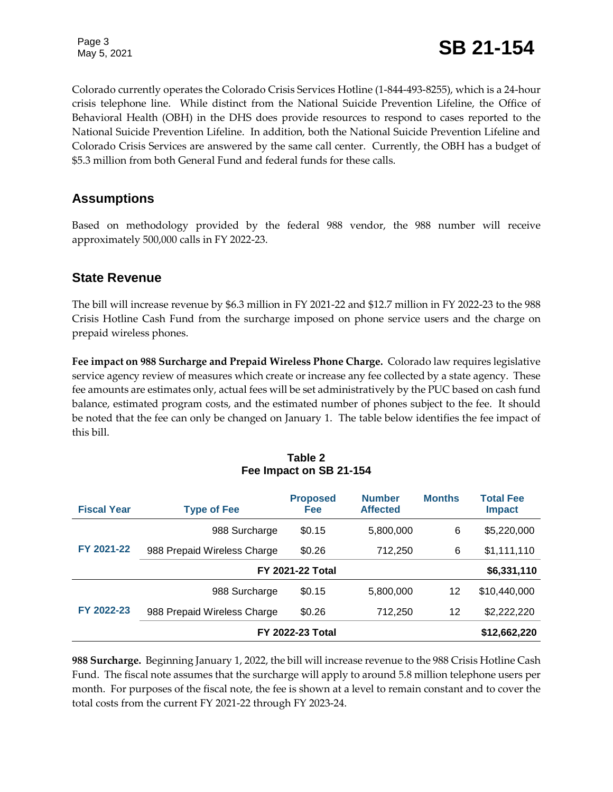Colorado currently operates the Colorado Crisis Services Hotline (1-844-493-8255), which is a 24-hour crisis telephone line. While distinct from the National Suicide Prevention Lifeline, the Office of Behavioral Health (OBH) in the DHS does provide resources to respond to cases reported to the National Suicide Prevention Lifeline. In addition, both the National Suicide Prevention Lifeline and Colorado Crisis Services are answered by the same call center. Currently, the OBH has a budget of \$5.3 million from both General Fund and federal funds for these calls.

#### **Assumptions**

Based on methodology provided by the federal 988 vendor, the 988 number will receive approximately 500,000 calls in FY 2022-23.

#### **State Revenue**

The bill will increase revenue by \$6.3 million in FY 2021-22 and \$12.7 million in FY 2022-23 to the 988 Crisis Hotline Cash Fund from the surcharge imposed on phone service users and the charge on prepaid wireless phones.

**Fee impact on 988 Surcharge and Prepaid Wireless Phone Charge.** Colorado law requires legislative service agency review of measures which create or increase any fee collected by a state agency. These fee amounts are estimates only, actual fees will be set administratively by the PUC based on cash fund balance, estimated program costs, and the estimated number of phones subject to the fee. It should be noted that the fee can only be changed on January 1. The table below identifies the fee impact of this bill.

| Table 2                 |  |  |  |
|-------------------------|--|--|--|
| Fee Impact on SB 21-154 |  |  |  |

| <b>Fiscal Year</b> | <b>Type of Fee</b>          | <b>Proposed</b><br>Fee  | <b>Number</b><br><b>Affected</b> | <b>Months</b> | <b>Total Fee</b><br><b>Impact</b> |
|--------------------|-----------------------------|-------------------------|----------------------------------|---------------|-----------------------------------|
| FY 2021-22         | 988 Surcharge               | \$0.15                  | 5,800,000                        | 6             | \$5,220,000                       |
|                    | 988 Prepaid Wireless Charge | \$0.26                  | 712,250                          | 6             | \$1,111,110                       |
|                    |                             | <b>FY 2021-22 Total</b> |                                  |               | \$6,331,110                       |
|                    | 988 Surcharge               | \$0.15                  | 5,800,000                        | 12            | \$10,440,000                      |
| FY 2022-23         | 988 Prepaid Wireless Charge | \$0.26                  | 712,250                          | 12            | \$2,222,220                       |
|                    |                             | <b>FY 2022-23 Total</b> |                                  |               | \$12,662,220                      |

**988 Surcharge.** Beginning January 1, 2022, the bill will increase revenue to the 988 Crisis Hotline Cash Fund. The fiscal note assumes that the surcharge will apply to around 5.8 million telephone users per month. For purposes of the fiscal note, the fee is shown at a level to remain constant and to cover the total costs from the current FY 2021-22 through FY 2023-24.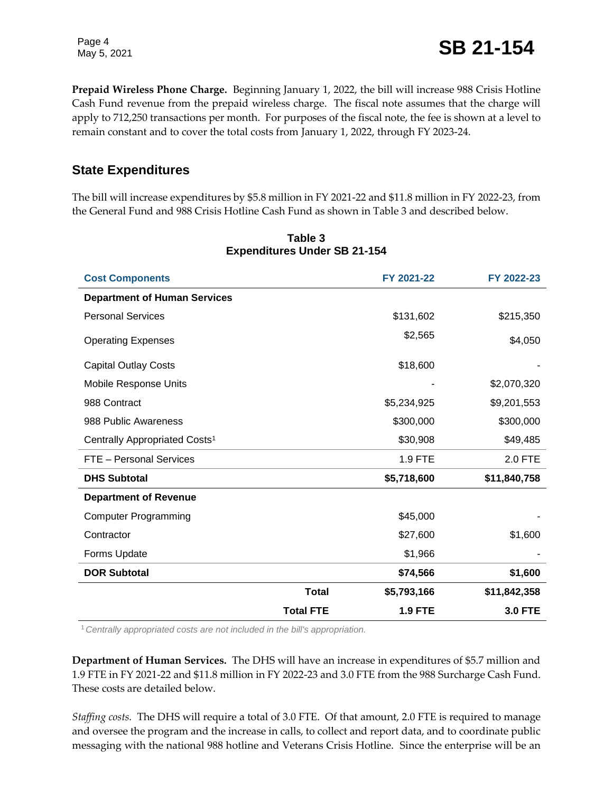Page 4

Page 4<br>May 5, 2021 **SB 21-154** 

**Prepaid Wireless Phone Charge.** Beginning January 1, 2022, the bill will increase 988 Crisis Hotline Cash Fund revenue from the prepaid wireless charge. The fiscal note assumes that the charge will apply to 712,250 transactions per month. For purposes of the fiscal note, the fee is shown at a level to remain constant and to cover the total costs from January 1, 2022, through FY 2023-24.

#### **State Expenditures**

The bill will increase expenditures by \$5.8 million in FY 2021-22 and \$11.8 million in FY 2022-23, from the General Fund and 988 Crisis Hotline Cash Fund as shown in Table 3 and described below.

| <b>Cost Components</b>                    |                  | FY 2021-22     | FY 2022-23     |
|-------------------------------------------|------------------|----------------|----------------|
| <b>Department of Human Services</b>       |                  |                |                |
| <b>Personal Services</b>                  |                  | \$131,602      | \$215,350      |
| <b>Operating Expenses</b>                 |                  | \$2,565        | \$4,050        |
| <b>Capital Outlay Costs</b>               |                  | \$18,600       |                |
| Mobile Response Units                     |                  |                | \$2,070,320    |
| 988 Contract                              |                  | \$5,234,925    | \$9,201,553    |
| 988 Public Awareness                      |                  | \$300,000      | \$300,000      |
| Centrally Appropriated Costs <sup>1</sup> |                  | \$30,908       | \$49,485       |
| FTE - Personal Services                   |                  | 1.9 FTE        | 2.0 FTE        |
| <b>DHS Subtotal</b>                       |                  | \$5,718,600    | \$11,840,758   |
| <b>Department of Revenue</b>              |                  |                |                |
| <b>Computer Programming</b>               |                  | \$45,000       |                |
| Contractor                                |                  | \$27,600       | \$1,600        |
| Forms Update                              |                  | \$1,966        |                |
| <b>DOR Subtotal</b>                       |                  | \$74,566       | \$1,600        |
|                                           | <b>Total</b>     | \$5,793,166    | \$11,842,358   |
|                                           | <b>Total FTE</b> | <b>1.9 FTE</b> | <b>3.0 FTE</b> |

#### **Table 3 Expenditures Under SB 21-154**

<sup>1</sup>*Centrally appropriated costs are not included in the bill's appropriation.*

**Department of Human Services.** The DHS will have an increase in expenditures of \$5.7 million and 1.9 FTE in FY 2021-22 and \$11.8 million in FY 2022-23 and 3.0 FTE from the 988 Surcharge Cash Fund. These costs are detailed below.

*Staffing costs.*The DHS will require a total of 3.0 FTE. Of that amount, 2.0 FTE is required to manage and oversee the program and the increase in calls, to collect and report data, and to coordinate public messaging with the national 988 hotline and Veterans Crisis Hotline. Since the enterprise will be an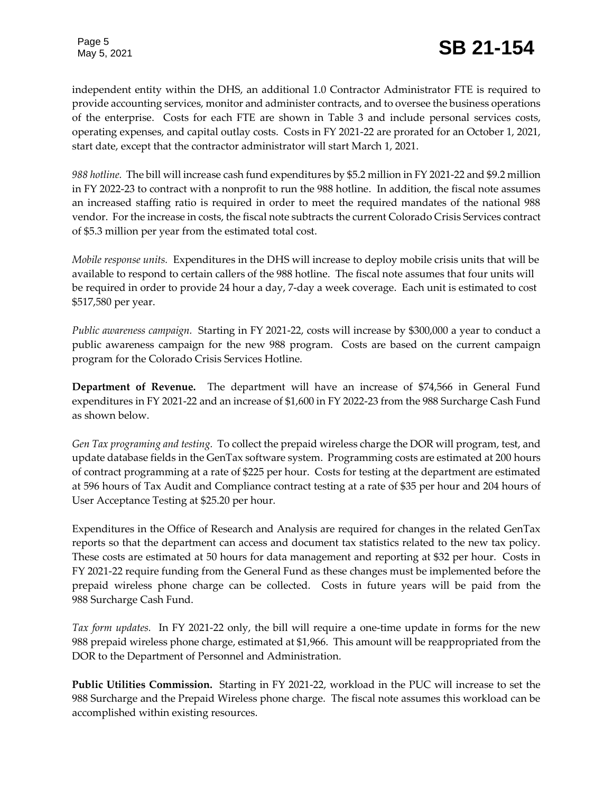## Page 5<br>May 5, 2021 **SB 21-154**

independent entity within the DHS, an additional 1.0 Contractor Administrator FTE is required to provide accounting services, monitor and administer contracts, and to oversee the business operations of the enterprise. Costs for each FTE are shown in Table 3 and include personal services costs, operating expenses, and capital outlay costs. Costs in FY 2021-22 are prorated for an October 1, 2021, start date, except that the contractor administrator will start March 1, 2021.

*988 hotline.* The bill will increase cash fund expenditures by \$5.2 million in FY 2021-22 and \$9.2 million in FY 2022-23 to contract with a nonprofit to run the 988 hotline. In addition, the fiscal note assumes an increased staffing ratio is required in order to meet the required mandates of the national 988 vendor. For the increase in costs, the fiscal note subtracts the current Colorado Crisis Services contract of \$5.3 million per year from the estimated total cost.

*Mobile response units.*Expenditures in the DHS will increase to deploy mobile crisis units that will be available to respond to certain callers of the 988 hotline. The fiscal note assumes that four units will be required in order to provide 24 hour a day, 7-day a week coverage. Each unit is estimated to cost \$517,580 per year.

*Public awareness campaign.*Starting in FY 2021-22, costs will increase by \$300,000 a year to conduct a public awareness campaign for the new 988 program. Costs are based on the current campaign program for the Colorado Crisis Services Hotline.

**Department of Revenue.** The department will have an increase of \$74,566 in General Fund expenditures in FY 2021-22 and an increase of \$1,600 in FY 2022-23 from the 988 Surcharge Cash Fund as shown below.

*Gen Tax programing and testing.*To collect the prepaid wireless charge the DOR will program, test, and update database fields in the GenTax software system. Programming costs are estimated at 200 hours of contract programming at a rate of \$225 per hour. Costs for testing at the department are estimated at 596 hours of Tax Audit and Compliance contract testing at a rate of \$35 per hour and 204 hours of User Acceptance Testing at \$25.20 per hour.

Expenditures in the Office of Research and Analysis are required for changes in the related GenTax reports so that the department can access and document tax statistics related to the new tax policy. These costs are estimated at 50 hours for data management and reporting at \$32 per hour. Costs in FY 2021-22 require funding from the General Fund as these changes must be implemented before the prepaid wireless phone charge can be collected. Costs in future years will be paid from the 988 Surcharge Cash Fund.

*Tax form updates.* In FY 2021-22 only, the bill will require a one-time update in forms for the new 988 prepaid wireless phone charge, estimated at \$1,966. This amount will be reappropriated from the DOR to the Department of Personnel and Administration.

**Public Utilities Commission.** Starting in FY 2021-22, workload in the PUC will increase to set the 988 Surcharge and the Prepaid Wireless phone charge. The fiscal note assumes this workload can be accomplished within existing resources.